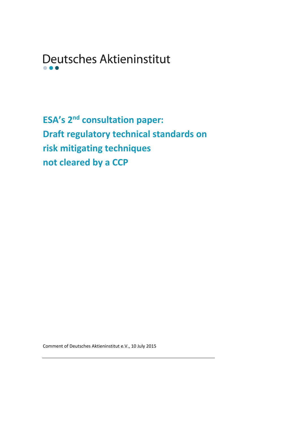Deutsches Aktieninstitut

**ESA**<sup>'</sup>s 2<sup>nd</sup> consultation paper: **Draft regulatory technical standards on risk mitigating techniques not cleared by a CCP**

Comment of Deutsches Aktieninstitut e.V., 10 July 2015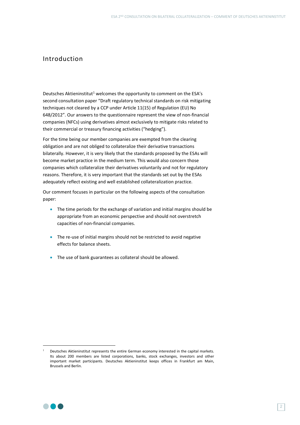# Introduction

Deutsches Aktieninstitut<sup>1</sup> welcomes the opportunity to comment on the ESA's second consultation paper "Draft regulatory technical standards on risk mitigating techniques not cleared by a CCP under Article 11(15) of Regulation (EU) No 648/2012". Our answers to the questionnaire represent the view of non-financial companies (NFCs) using derivatives almost exclusively to mitigate risks related to their commercial or treasury financing activities ("hedging").

For the time being our member companies are exempted from the clearing obligation and are not obliged to collateralize their derivative transactions bilaterally. However, it is very likely that the standards proposed by the ESAs will become market practice in the medium term. This would also concern those companies which collateralize their derivatives voluntarily and not for regulatory reasons. Therefore, it is very important that the standards set out by the ESAs adequately reflect existing and well established collateralization practice.

Our comment focuses in particular on the following aspects of the consultation paper:

- The time periods for the exchange of variation and initial margins should be appropriate from an economic perspective and should not overstretch capacities of non-financial companies.
- The re-use of initial margins should not be restricted to avoid negative effects for balance sheets.
- The use of bank guarantees as collateral should be allowed.



**-**

Deutsches Aktieninstitut represents the entire German economy interested in the capital markets. Its about 200 members are listed corporations, banks, stock exchanges, investors and other important market participants. Deutsches Aktieninstitut keeps offices in Frankfurt am Main, Brussels and Berlin.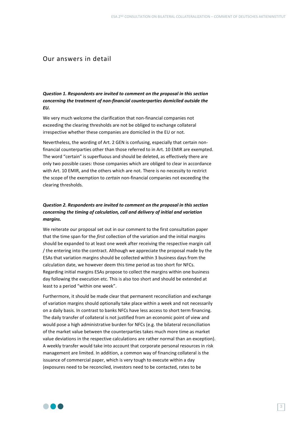# Our answers in detail

*Question 1. Respondents are invited to comment on the proposal in this section concerning the treatment of non-financial counterparties domiciled outside the EU.*

We very much welcome the clarification that non-financial companies not exceeding the clearing thresholds are not be obliged to exchange collateral irrespective whether these companies are domiciled in the EU or not.

Nevertheless, the wording of Art. 2 GEN is confusing, especially that certain nonfinancial counterparties other than those referred to in Art. 10 EMIR are exempted. The word "certain" is superfluous and should be deleted, as effectively there are only two possible cases: those companies which are obliged to clear in accordance with Art. 10 EMIR, and the others which are not. There is no necessity to restrict the scope of the exemption to *certain* non-financial companies not exceeding the clearing thresholds.

## *Question 2. Respondents are invited to comment on the proposal in this section concerning the timing of calculation, call and delivery of initial and variation margins.*

We reiterate our proposal set out in our comment to the first consultation paper that the time span for the *first* collection of the variation and the initial margins should be expanded to at least one week after receiving the respective margin call / the entering into the contract. Although we appreciate the proposal made by the ESAs that variation margins should be collected within 3 business days from the calculation date, we however deem this time period as too short for NFCs. Regarding initial margins ESAs propose to collect the margins within one business day following the execution etc. This is also too short and should be extended at least to a period "within one week".

Furthermore, it should be made clear that permanent reconciliation and exchange of variation margins should optionally take place within a week and not necessarily on a daily basis. In contrast to banks NFCs have less access to short term financing. The daily transfer of collateral is not justified from an economic point of view and would pose a high administrative burden for NFCs (e.g. the bilateral reconciliation of the market value between the counterparties takes much more time as market value deviations in the respective calculations are rather normal than an exception). A weekly transfer would take into account that corporate personal resources in risk management are limited. In addition, a common way of financing collateral is the issuance of commercial paper, which is very tough to execute within a day (exposures need to be reconciled, investors need to be contacted, rates to be

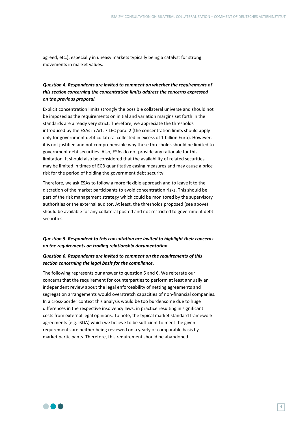agreed, etc.), especially in uneasy markets typically being a catalyst for strong movements in market values.

## *Question 4. Respondents are invited to comment on whether the requirements of this section concerning the concentration limits address the concerns expressed on the previous proposal.*

Explicit concentration limits strongly the possible collateral universe and should not be imposed as the requirements on initial and variation margins set forth in the standards are already very strict. Therefore, we appreciate the thresholds introduced by the ESAs in Art. 7 LEC para. 2 (the concentration limits should apply only for government debt collateral collected in excess of 1 billion Euro). However, it is not justified and not comprehensible why these thresholds should be limited to government debt securities. Also, ESAs do not provide any rationale for this limitation. It should also be considered that the availability of related securities may be limited in times of ECB quantitative easing measures and may cause a price risk for the period of holding the government debt security.

Therefore, we ask ESAs to follow a more flexible approach and to leave it to the discretion of the market participants to avoid concentration risks. This should be part of the risk management strategy which could be monitored by the supervisory authorities or the external auditor. At least, the thresholds proposed (see above) should be available for any collateral posted and not restricted to government debt securities.

### *Question 5. Respondent to this consultation are invited to highlight their concerns on the requirements on trading relationship documentation.*

## *Question 6. Respondents are invited to comment on the requirements of this section concerning the legal basis for the compliance.*

The following represents our answer to question 5 and 6. We reiterate our concerns that the requirement for counterparties to perform at least annually an independent review about the legal enforceability of netting agreements and segregation arrangements would overstretch capacities of non-financial companies. In a cross-border context this analysis would be too burdensome due to huge differences in the respective insolvency laws, in practice resulting in significant costs from external legal opinions. To note, the typical market standard framework agreements (e.g. ISDA) which we believe to be sufficient to meet the given requirements are neither being reviewed on a yearly or comparable basis by market participants. Therefore, this requirement should be abandoned.

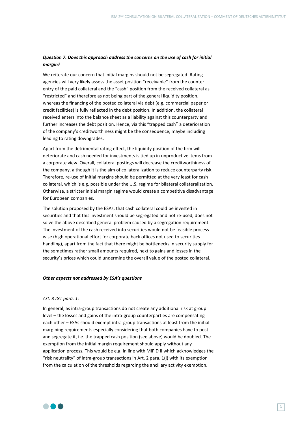## *Question 7. Does this approach address the concerns on the use of cash for initial margin?*

We reiterate our concern that initial margins should not be segregated. Rating agencies will very likely assess the asset position "receivable" from the counter entry of the paid collateral and the "cash" position from the received collateral as "restricted" and therefore as not being part of the general liquidity position, whereas the financing of the posted collateral via debt (e.g. commercial paper or credit facilities) is fully reflected in the debt position. In addition, the collateral received enters into the balance sheet as a liability against this counterparty and further increases the debt position. Hence, via this "trapped cash" a deterioration of the company's creditworthiness might be the consequence, maybe including leading to rating downgrades.

Apart from the detrimental rating effect, the liquidity position of the firm will deteriorate and cash needed for investments is tied up in unproductive items from a corporate view. Overall, collateral postings will decrease the creditworthiness of the company, although it is the aim of collateralization to reduce counterparty risk. Therefore, re-use of initial margins should be permitted at the very least for cash collateral, which is e.g. possible under the U.S. regime for bilateral collateralization. Otherwise, a stricter initial margin regime would create a competitive disadvantage for European companies.

The solution proposed by the ESAs, that cash collateral could be invested in securities and that this investment should be segregated and not re-used, does not solve the above described general problem caused by a segregation requirement. The investment of the cash received into securities would not be feasible processwise (high operational effort for corporate back offices not used to securities handling), apart from the fact that there might be bottlenecks in security supply for the sometimes rather small amounts required, next to gains and losses in the security´s prices which could undermine the overall value of the posted collateral.

#### *Other aspects not addressed by ESA's questions*

#### *Art. 3 IGT para. 1:*

In general, as intra-group transactions do not create any additional risk at group level – the losses and gains of the intra-group counterparties are compensating each other – ESAs should exempt intra-group transactions at least from the initial margining requirements especially considering that both companies have to post and segregate it, i.e. the trapped cash position (see above) would be doubled. The exemption from the initial margin requirement should apply without any application process. This would be e.g. in line with MiFID II which acknowledges the "risk neutrality" of intra-group transactions in Art. 2 para. 1(j) with its exemption from the calculation of the thresholds regarding the ancillary activity exemption.

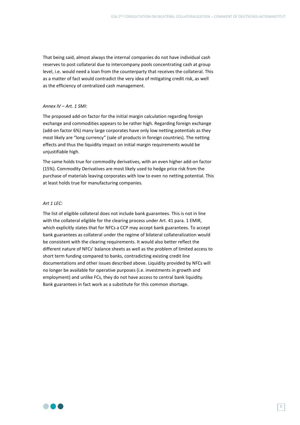That being said, almost always the internal companies do not have individual cash reserves to post collateral due to intercompany pools concentrating cash at group level, i.e. would need a loan from the counterparty that receives the collateral. This as a matter of fact would contradict the very idea of mitigating credit risk, as well as the efficiency of centralized cash management.

#### *Annex IV – Art. 1 SMI:*

The proposed add-on factor for the initial margin calculation regarding foreign exchange and commodities appears to be rather high. Regarding foreign exchange (add-on factor 6%) many large corporates have only low netting potentials as they most likely are "long currency" (sale of products in foreign countries). The netting effects and thus the liquidity impact on initial margin requirements would be unjustifiable high.

The same holds true for commodity derivatives, with an even higher add-on factor (15%). Commodity Derivatives are most likely used to hedge price risk from the purchase of materials leaving corporates with low to even no netting potential. This at least holds true for manufacturing companies.

#### *Art 1 LEC:*

The list of eligible collateral does not include bank guarantees. This is not in line with the collateral eligible for the clearing process under Art. 41 para. 1 EMIR, which explicitly states that for NFCs a CCP may accept bank guarantees. To accept bank guarantees as collateral under the regime of bilateral collateralization would be consistent with the clearing requirements. It would also better reflect the different nature of NFCs' balance sheets as well as the problem of limited access to short term funding compared to banks, contradicting existing credit line documentations and other issues described above. Liquidity provided by NFCs will no longer be available for operative purposes (i.e. investments in growth and employment) and unlike FCs, they do not have access to central bank liquidity. Bank guarantees in fact work as a substitute for this common shortage.